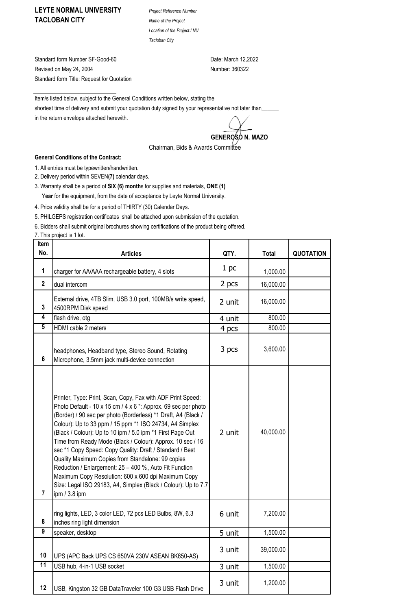## **LEYTE NORMAL UNIVERSITY** *Project Reference Number* **TACLOBAN CITY** *Name of the Project*

*Location of the Project:LNU Tacloban City*

Standard form Number SF-Good-60 Date: March 12,2022 Revised on May 24, 2004 Number: 360322 Standard form Title: Request for Quotation

Item/s listed below, subject to the General Conditions written below, stating the shortest time of delivery and submit your quotation duly signed by your representative not later than\_ in the return envelope attached herewith.

GENEROSO N. MAZO

Chairman, Bids & Awards Committee

## **General Conditions of the Contract:**

1. All entries must be typewritten/handwritten.

2. Delivery period within SEVEN**(7)** calendar days.

3. Warranty shall be a period of **SIX (6) month**s for supplies and materials, **ONE (1)** Y**ear** for the equipment, from the date of acceptance by Leyte Normal University.

4. Price validity shall be for a period of THIRTY (30) Calendar Days.

5. PHILGEPS registration certificates shall be attached upon submission of the quotation.

6. Bidders shall submit original brochures showing certifications of the product being offered.

7. This project is 1 lot.

| Item<br>No.             | <b>Articles</b>                                                                                                                                                                                                                                                                                                                                                                                                                                                                                                                                                                                                                                                                                               | QTY.   | <b>Total</b> | <b>QUOTATION</b> |
|-------------------------|---------------------------------------------------------------------------------------------------------------------------------------------------------------------------------------------------------------------------------------------------------------------------------------------------------------------------------------------------------------------------------------------------------------------------------------------------------------------------------------------------------------------------------------------------------------------------------------------------------------------------------------------------------------------------------------------------------------|--------|--------------|------------------|
|                         |                                                                                                                                                                                                                                                                                                                                                                                                                                                                                                                                                                                                                                                                                                               |        |              |                  |
| 1                       | charger for AA/AAA rechargeable battery, 4 slots                                                                                                                                                                                                                                                                                                                                                                                                                                                                                                                                                                                                                                                              | 1 pc   | 1,000.00     |                  |
| $\overline{\mathbf{2}}$ | dual intercom                                                                                                                                                                                                                                                                                                                                                                                                                                                                                                                                                                                                                                                                                                 | 2 pcs  | 16,000.00    |                  |
| 3                       | External drive, 4TB Slim, USB 3.0 port, 100MB/s write speed,<br>4500RPM Disk speed                                                                                                                                                                                                                                                                                                                                                                                                                                                                                                                                                                                                                            | 2 unit | 16,000.00    |                  |
| $\overline{\mathbf{4}}$ | flash drive, otg                                                                                                                                                                                                                                                                                                                                                                                                                                                                                                                                                                                                                                                                                              | 4 unit | 800.00       |                  |
| $\overline{5}$          | HDMI cable 2 meters                                                                                                                                                                                                                                                                                                                                                                                                                                                                                                                                                                                                                                                                                           | 4 pcs  | 800.00       |                  |
| 6                       | headphones, Headband type, Stereo Sound, Rotating<br>Microphone, 3.5mm jack multi-device connection                                                                                                                                                                                                                                                                                                                                                                                                                                                                                                                                                                                                           | 3 pcs  | 3,600.00     |                  |
| $\overline{\mathbf{r}}$ | Printer, Type: Print, Scan, Copy, Fax with ADF Print Speed:<br>Photo Default - 10 x 15 cm $/$ 4 x 6 ": Approx. 69 sec per photo<br>(Border) / 90 sec per photo (Borderless) *1 Draft, A4 (Black /<br>Colour): Up to 33 ppm / 15 ppm *1 ISO 24734, A4 Simplex<br>(Black / Colour): Up to 10 ipm / 5.0 ipm *1 First Page Out<br>Time from Ready Mode (Black / Colour): Approx. 10 sec / 16<br>sec *1 Copy Speed: Copy Quality: Draft / Standard / Best<br>Quality Maximum Copies from Standalone: 99 copies<br>Reduction / Enlargement: 25 - 400 %, Auto Fit Function<br>Maximum Copy Resolution: 600 x 600 dpi Maximum Copy<br>Size: Legal ISO 29183, A4, Simplex (Black / Colour): Up to 7.7<br>ipm / 3.8 ipm | 2 unit | 40,000.00    |                  |
| 8                       | ring lights, LED, 3 color LED, 72 pcs LED Bulbs, 8W, 6.3<br>inches ring light dimension                                                                                                                                                                                                                                                                                                                                                                                                                                                                                                                                                                                                                       | 6 unit | 7,200.00     |                  |
| 9                       | speaker, desktop                                                                                                                                                                                                                                                                                                                                                                                                                                                                                                                                                                                                                                                                                              | 5 unit | 1,500.00     |                  |
| 10                      | UPS (APC Back UPS CS 650VA 230V ASEAN BK650-AS)                                                                                                                                                                                                                                                                                                                                                                                                                                                                                                                                                                                                                                                               | 3 unit | 39,000.00    |                  |
| $\overline{11}$         | USB hub, 4-in-1 USB socket                                                                                                                                                                                                                                                                                                                                                                                                                                                                                                                                                                                                                                                                                    | 3 unit | 1,500.00     |                  |
| 12                      | USB, Kingston 32 GB DataTraveler 100 G3 USB Flash Drive                                                                                                                                                                                                                                                                                                                                                                                                                                                                                                                                                                                                                                                       | 3 unit | 1,200.00     |                  |